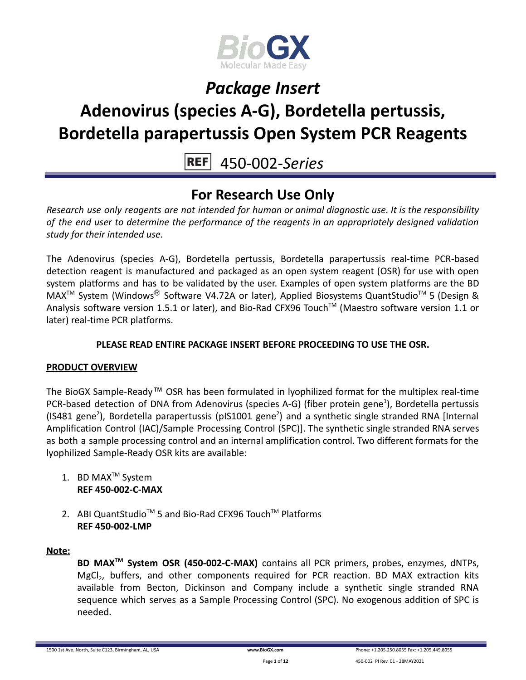

# **Adenovirus (species A-G), Bordetella pertussis, Bordetella parapertussis Open System PCR Reagents**

450-002-*Series*

### **For Research Use Only**

*Research use only reagents are not intended for human or animal diagnostic use. It is the responsibility of the end user to determine the performance of the reagents in an appropriately designed validation study for their intended use.*

The Adenovirus (species A-G), Bordetella pertussis, Bordetella parapertussis real-time PCR-based detection reagent is manufactured and packaged as an open system reagent (OSR) for use with open system platforms and has to be validated by the user. Examples of open system platforms are the BD MAX<sup>™</sup> System (Windows<sup>®</sup> Software V4.72A or later), Applied Biosystems QuantStudio<sup>™</sup> 5 (Design & Analysis software version 1.5.1 or later), and Bio-Rad CFX96 Touch™ (Maestro software version 1.1 or later) real-time PCR platforms.

### **PLEASE READ ENTIRE PACKAGE INSERT BEFORE PROCEEDING TO USE THE OSR.**

### **PRODUCT OVERVIEW**

The BioGX Sample-Ready™ OSR has been formulated in lyophilized format for the multiplex real-time PCR-based detection of DNA from Adenovirus (species A-G) (fiber protein gene<sup>1</sup>), Bordetella pertussis (IS481 gene<sup>2</sup>), Bordetella parapertussis (pIS1001 gene<sup>2</sup>) and a synthetic single stranded RNA [Internal Amplification Control (IAC)/Sample Processing Control (SPC)]. The synthetic single stranded RNA serves as both a sample processing control and an internal amplification control. Two different formats for the lyophilized Sample-Ready OSR kits are available:

- 1. BD MAX<sup>™</sup> System **REF 450-002-C-MAX**
- 2. ABI QuantStudio<sup>™</sup> 5 and Bio-Rad CFX96 Touch™ Platforms **REF 450-002-LMP**

### **Note:**

**BD MAXTM System OSR (450-002-C-MAX)** contains all PCR primers, probes, enzymes, dNTPs, MgCl<sub>2</sub>, buffers, and other components required for PCR reaction. BD MAX extraction kits available from Becton, Dickinson and Company include a synthetic single stranded RNA sequence which serves as a Sample Processing Control (SPC). No exogenous addition of SPC is needed.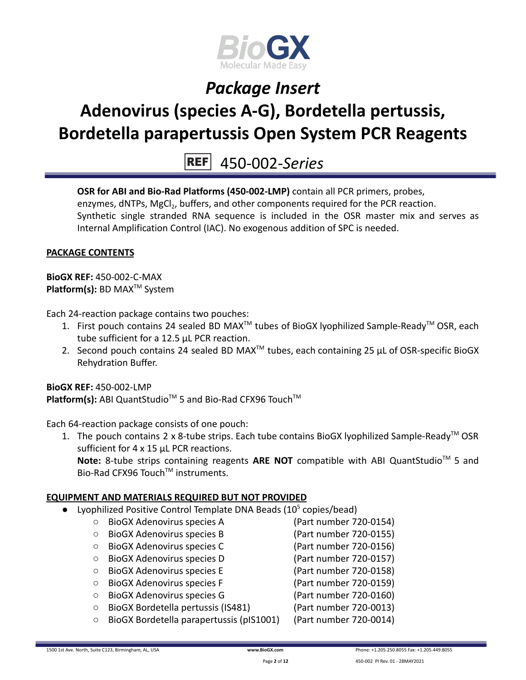

# **Adenovirus (species A-G), Bordetella pertussis, Bordetella parapertussis Open System PCR Reagents**

450-002-*Series*

**OSR for ABI and Bio-Rad Platforms (450-002-LMP)** contain all PCR primers, probes, enzymes, dNTPs, MgCl<sub>2</sub>, buffers, and other components required for the PCR reaction. Synthetic single stranded RNA sequence is included in the OSR master mix and serves as Internal Amplification Control (IAC). No exogenous addition of SPC is needed.

### **PACKAGE CONTENTS**

**BioGX REF:** 450-002-C-MAX **Platform(s):** BD MAX<sup>™</sup> System

Each 24-reaction package contains two pouches:

- 1. First pouch contains 24 sealed BD MAX<sup>™</sup> tubes of BioGX lyophilized Sample-Ready<sup>™</sup> OSR, each tube sufficient for a 12.5 µL PCR reaction.
- 2. Second pouch contains 24 sealed BD MAX<sup>™</sup> tubes, each containing 25  $\mu$ L of OSR-specific BioGX Rehydration Buffer.

**BioGX REF:** 450-002-LMP Platform(s): ABI QuantStudio<sup>™</sup> 5 and Bio-Rad CFX96 Touch<sup>™</sup>

Each 64-reaction package consists of one pouch:

1. The pouch contains 2 x 8-tube strips. Each tube contains BioGX lyophilized Sample-Ready<sup>™</sup> OSR sufficient for 4 x 15 uL PCR reactions.

Note: 8-tube strips containing reagents ARE NOT compatible with ABI QuantStudio<sup>™</sup> 5 and Bio-Rad CFX96 Touch™ instruments.

### **EQUIPMENT AND MATERIALS REQUIRED BUT NOT PROVIDED**

- Lyophilized Positive Control Template DNA Beads  $(10^5 \text{ copies/head})$ 
	- BioGX Adenovirus species A (Part number 720-0154) ○ BioGX Adenovirus species B (Part number 720-0155) ○ BioGX Adenovirus species C (Part number 720-0156) ○ BioGX Adenovirus species D (Part number 720-0157) ○ BioGX Adenovirus species E (Part number 720-0158) ○ BioGX Adenovirus species F (Part number 720-0159)
	- BioGX Adenovirus species G (Part number 720-0160)
- - BioGX Bordetella pertussis (IS481) (Part number 720-0013)
	- BioGX Bordetella parapertussis (pIS1001) (Part number 720-0014)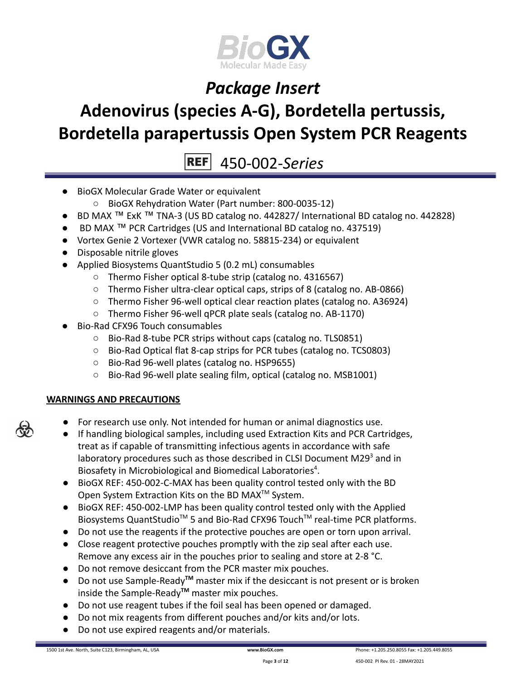

# **Adenovirus (species A-G), Bordetella pertussis, Bordetella parapertussis Open System PCR Reagents**

 $|REF|$ 450-002-*Series*

- BioGX Molecular Grade Water or equivalent
	- BioGX Rehydration Water (Part number: 800-0035-12)
- BD MAX ™ ExK ™ TNA-3 (US BD catalog no. 442827/ International BD catalog no. 442828)
- BD MAX ™ PCR Cartridges (US and International BD catalog no. 437519)
- Vortex Genie 2 Vortexer (VWR catalog no. 58815-234) or equivalent
- Disposable nitrile gloves
- Applied Biosystems QuantStudio 5 (0.2 mL) consumables
	- Thermo Fisher optical 8-tube strip (catalog no. 4316567)
	- Thermo Fisher ultra-clear optical caps, strips of 8 (catalog no. AB-0866)
	- Thermo Fisher 96-well optical clear reaction plates (catalog no. A36924)
	- Thermo Fisher 96-well qPCR plate seals (catalog no. AB-1170)
- Bio-Rad CFX96 Touch consumables
	- Bio-Rad 8-tube PCR strips without caps (catalog no. TLS0851)
	- Bio-Rad Optical flat 8-cap strips for PCR tubes (catalog no. TCS0803)
	- Bio-Rad 96-well plates (catalog no. HSP9655)
	- Bio-Rad 96-well plate sealing film, optical (catalog no. MSB1001)

### **WARNINGS AND PRECAUTIONS**

- For research use only. Not intended for human or animal diagnostics use.
- If handling biological samples, including used Extraction Kits and PCR Cartridges, treat as if capable of transmitting infectious agents in accordance with safe laboratory procedures such as those described in CLSI Document M29 $3$  and in Biosafety in Microbiological and Biomedical Laboratories $4$ .
- BioGX REF: 450-002-C-MAX has been quality control tested only with the BD Open System Extraction Kits on the BD MAX<sup>™</sup> System.
- BioGX REF: 450-002-LMP has been quality control tested only with the Applied Biosystems QuantStudio<sup>™</sup> 5 and Bio-Rad CFX96 Touch<sup>™</sup> real-time PCR platforms.
- Do not use the reagents if the protective pouches are open or torn upon arrival.
- Close reagent protective pouches promptly with the zip seal after each use. Remove any excess air in the pouches prior to sealing and store at 2-8 °C.
- Do not remove desiccant from the PCR master mix pouches.
- Do not use Sample-Ready**TM** master mix if the desiccant is not present or is broken inside the Sample-Ready**TM** master mix pouches.
- Do not use reagent tubes if the foil seal has been opened or damaged.
- Do not mix reagents from different pouches and/or kits and/or lots.
- Do not use expired reagents and/or materials.

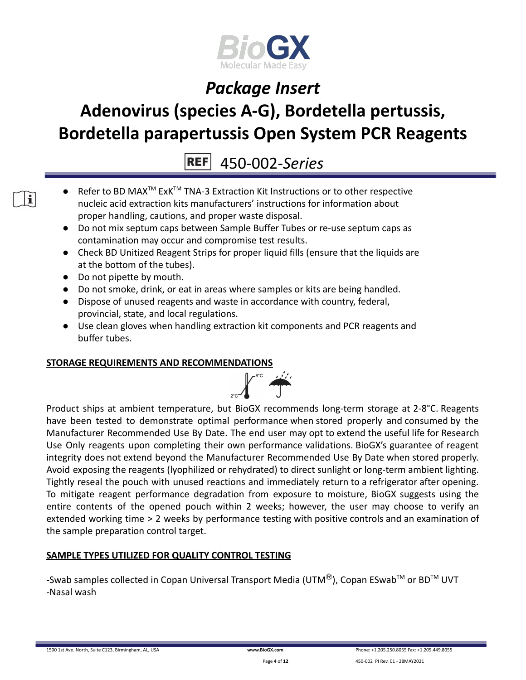

# **Adenovirus (species A-G), Bordetella pertussis, Bordetella parapertussis Open System PCR Reagents**

450-002-*Series*

- Refer to BD MAX<sup>™</sup> ExK<sup>™</sup> TNA-3 Extraction Kit Instructions or to other respective nucleic acid extraction kits manufacturers' instructions for information about proper handling, cautions, and proper waste disposal.
- Do not mix septum caps between Sample Buffer Tubes or re-use septum caps as contamination may occur and compromise test results.
- Check BD Unitized Reagent Strips for proper liquid fills (ensure that the liquids are at the bottom of the tubes).
- Do not pipette by mouth.
- Do not smoke, drink, or eat in areas where samples or kits are being handled.
- Dispose of unused reagents and waste in accordance with country, federal, provincial, state, and local regulations.
- Use clean gloves when handling extraction kit components and PCR reagents and buffer tubes.

### **STORAGE REQUIREMENTS AND RECOMMENDATIONS**



Product ships at ambient temperature, but BioGX recommends long-term storage at 2-8°C. Reagents have been tested to demonstrate optimal performance when stored properly and consumed by the Manufacturer Recommended Use By Date. The end user may opt to extend the useful life for Research Use Only reagents upon completing their own performance validations. BioGX's guarantee of reagent integrity does not extend beyond the Manufacturer Recommended Use By Date when stored properly. Avoid exposing the reagents (lyophilized or rehydrated) to direct sunlight or long-term ambient lighting. Tightly reseal the pouch with unused reactions and immediately return to a refrigerator after opening. To mitigate reagent performance degradation from exposure to moisture, BioGX suggests using the entire contents of the opened pouch within 2 weeks; however, the user may choose to verify an extended working time > 2 weeks by performance testing with positive controls and an examination of the sample preparation control target.

### **SAMPLE TYPES UTILIZED FOR QUALITY CONTROL TESTING**

-Swab samples collected in Copan Universal Transport Media (UTM $^{\circledR}$ ), Copan ESwab<sup>TM</sup> or BD<sup>TM</sup> UVT -Nasal wash

 $\mathbf{i}$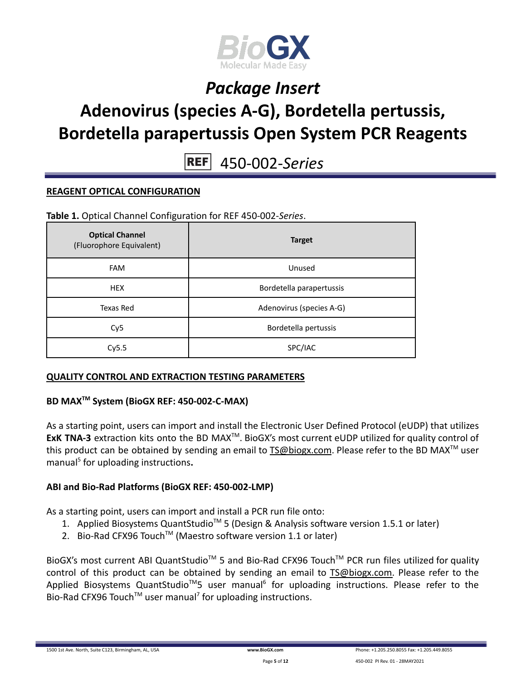

# **Adenovirus (species A-G), Bordetella pertussis, Bordetella parapertussis Open System PCR Reagents**

**REF** 450-002-*Series*

### **REAGENT OPTICAL CONFIGURATION**

**Table 1.** Optical Channel Configuration for REF 450-002-*Series*.

| <b>Optical Channel</b><br>(Fluorophore Equivalent) | <b>Target</b>            |
|----------------------------------------------------|--------------------------|
| <b>FAM</b>                                         | Unused                   |
| <b>HEX</b>                                         | Bordetella parapertussis |
| Texas Red                                          | Adenovirus (species A-G) |
| Cy <sub>5</sub>                                    | Bordetella pertussis     |
| Cy5.5                                              | SPC/IAC                  |

### **QUALITY CONTROL AND EXTRACTION TESTING PARAMETERS**

### **BD MAXTM System (BioGX REF: 450-002-C-MAX)**

As a starting point, users can import and install the Electronic User Defined Protocol (eUDP) that utilizes **ExK TNA-3** extraction kits onto the BD MAX<sup>™</sup>. BioGX's most current eUDP utilized for quality control of this product can be obtained by sending an email to [TS@biogx.com](mailto:TS@biogx.com). Please refer to the BD MAX<sup>TM</sup> user manual<sup>5</sup> for uploading instructions.

### **ABI and Bio-Rad Platforms (BioGX REF: 450-002-LMP)**

As a starting point, users can import and install a PCR run file onto:

- 1. Applied Biosystems QuantStudio<sup>™</sup> 5 (Design & Analysis software version 1.5.1 or later)
- 2. Bio-Rad CFX96 Touch<sup>™</sup> (Maestro software version 1.1 or later)

BioGX's most current ABI QuantStudio<sup>™</sup> 5 and Bio-Rad CFX96 Touch<sup>™</sup> PCR run files utilized for quality control of this product can be obtained by sending an email to [TS@biogx.com.](mailto:TS@biogx.com) Please refer to the Applied Biosystems QuantStudio<sup>™</sup>5 user manual<sup>6</sup> for uploading instructions. Please refer to the Bio-Rad CFX96 Touch<sup>TM</sup> user manual<sup>7</sup> for uploading instructions.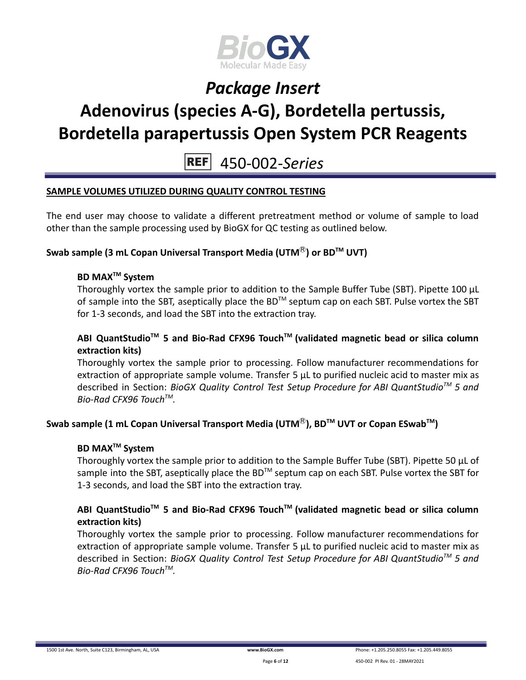

# **Adenovirus (species A-G), Bordetella pertussis, Bordetella parapertussis Open System PCR Reagents**

**REF** 450-002-*Series*

### **SAMPLE VOLUMES UTILIZED DURING QUALITY CONTROL TESTING**

The end user may choose to validate a different pretreatment method or volume of sample to load other than the sample processing used by BioGX for QC testing as outlined below.

### **Swab sample (3 mL Copan Universal Transport Media (UTM**Ⓡ**) or BDTM UVT)**

### **BD MAXTM System**

Thoroughly vortex the sample prior to addition to the Sample Buffer Tube (SBT). Pipette 100 μL of sample into the SBT, aseptically place the BD<sup>TM</sup> septum cap on each SBT. Pulse vortex the SBT for 1-3 seconds, and load the SBT into the extraction tray.

### **ABI QuantStudioTM 5 and Bio-Rad CFX96 TouchTM (validated magnetic bead or silica column extraction kits)**

Thoroughly vortex the sample prior to processing. Follow manufacturer recommendations for extraction of appropriate sample volume. Transfer 5 μL to purified nucleic acid to master mix as described in Section: *BioGX Quality Control Test Setup Procedure for ABI QuantStudioTM 5 and Bio-Rad CFX96 TouchTM .*

### **Swab sample (1 mL Copan Universal Transport Media (UTM**Ⓡ**), BDTM UVT or Copan ESwabTM )**

### **BD MAXTM System**

Thoroughly vortex the sample prior to addition to the Sample Buffer Tube (SBT). Pipette 50 μL of sample into the SBT, aseptically place the BD<sup>™</sup> septum cap on each SBT. Pulse vortex the SBT for 1-3 seconds, and load the SBT into the extraction tray.

### **ABI QuantStudioTM 5 and Bio-Rad CFX96 TouchTM (validated magnetic bead or silica column extraction kits)**

Thoroughly vortex the sample prior to processing. Follow manufacturer recommendations for extraction of appropriate sample volume. Transfer 5 μL to purified nucleic acid to master mix as described in Section: *BioGX Quality Control Test Setup Procedure for ABI QuantStudioTM 5 and Bio-Rad CFX96 TouchTM .*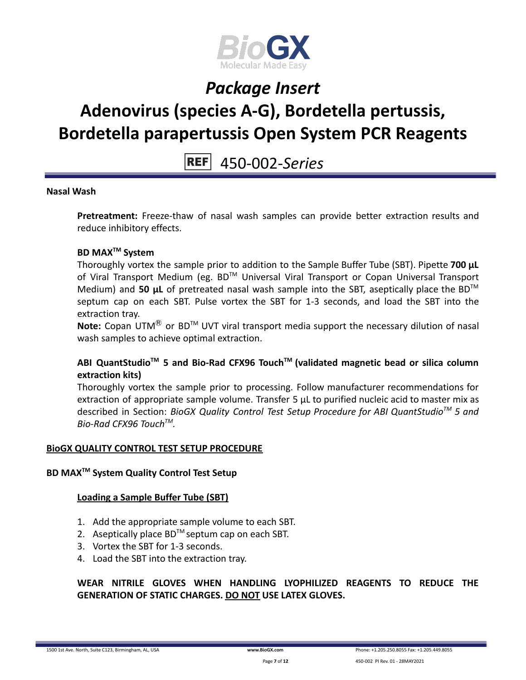

# **Adenovirus (species A-G), Bordetella pertussis, Bordetella parapertussis Open System PCR Reagents**

450-002-*Series*

### **Nasal Wash**

**Pretreatment:** Freeze-thaw of nasal wash samples can provide better extraction results and reduce inhibitory effects.

### **BD MAXTM System**

Thoroughly vortex the sample prior to addition to the Sample Buffer Tube (SBT). Pipette **700 μL** of Viral Transport Medium (eg. BD™ Universal Viral Transport or Copan Universal Transport Medium) and 50 **µL** of pretreated nasal wash sample into the SBT, aseptically place the BD<sup>™</sup> septum cap on each SBT. Pulse vortex the SBT for 1-3 seconds, and load the SBT into the extraction tray.

Note: Copan UTM<sup>®</sup> or BD<sup>™</sup> UVT viral transport media support the necessary dilution of nasal wash samples to achieve optimal extraction.

### **ABI QuantStudioTM 5 and Bio-Rad CFX96 TouchTM (validated magnetic bead or silica column extraction kits)**

Thoroughly vortex the sample prior to processing. Follow manufacturer recommendations for extraction of appropriate sample volume. Transfer 5 μL to purified nucleic acid to master mix as described in Section: *BioGX Quality Control Test Setup Procedure for ABI QuantStudioTM 5 and Bio-Rad CFX96 TouchTM .*

### **BioGX QUALITY CONTROL TEST SETUP PROCEDURE**

### **BD MAXTM System Quality Control Test Setup**

### **Loading a Sample Buffer Tube (SBT)**

- 1. Add the appropriate sample volume to each SBT.
- 2. Aseptically place  $BD^{TM}$  septum cap on each SBT.
- 3. Vortex the SBT for 1-3 seconds.
- 4. Load the SBT into the extraction tray.

### **WEAR NITRILE GLOVES WHEN HANDLING LYOPHILIZED REAGENTS TO REDUCE THE GENERATION OF STATIC CHARGES. DO NOT USE LATEX GLOVES.**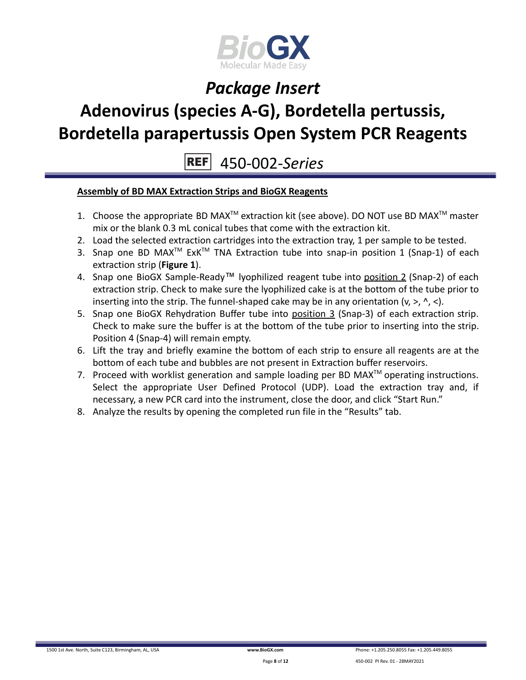

# **Adenovirus (species A-G), Bordetella pertussis, Bordetella parapertussis Open System PCR Reagents**

450-002-*Series* **REF** 

### **Assembly of BD MAX Extraction Strips and BioGX Reagents**

- 1. Choose the appropriate BD MAX<sup>TM</sup> extraction kit (see above). DO NOT use BD MAX<sup>TM</sup> master mix or the blank 0.3 mL conical tubes that come with the extraction kit.
- 2. Load the selected extraction cartridges into the extraction tray, 1 per sample to be tested.
- 3. Snap one BD MAX<sup>™</sup> ExK<sup>™</sup> TNA Extraction tube into snap-in position 1 (Snap-1) of each extraction strip (**Figure 1**).
- 4. Snap one BioGX Sample-Ready™ lyophilized reagent tube into position 2 (Snap-2) of each extraction strip. Check to make sure the lyophilized cake is at the bottom of the tube prior to inserting into the strip. The funnel-shaped cake may be in any orientation  $(v, >, ' , <)$ .
- 5. Snap one BioGX Rehydration Buffer tube into position 3 (Snap-3) of each extraction strip. Check to make sure the buffer is at the bottom of the tube prior to inserting into the strip. Position 4 (Snap-4) will remain empty.
- 6. Lift the tray and briefly examine the bottom of each strip to ensure all reagents are at the bottom of each tube and bubbles are not present in Extraction buffer reservoirs.
- 7. Proceed with worklist generation and sample loading per BD MAX $^{TM}$  operating instructions. Select the appropriate User Defined Protocol (UDP). Load the extraction tray and, if necessary, a new PCR card into the instrument, close the door, and click "Start Run."
- 8. Analyze the results by opening the completed run file in the "Results" tab.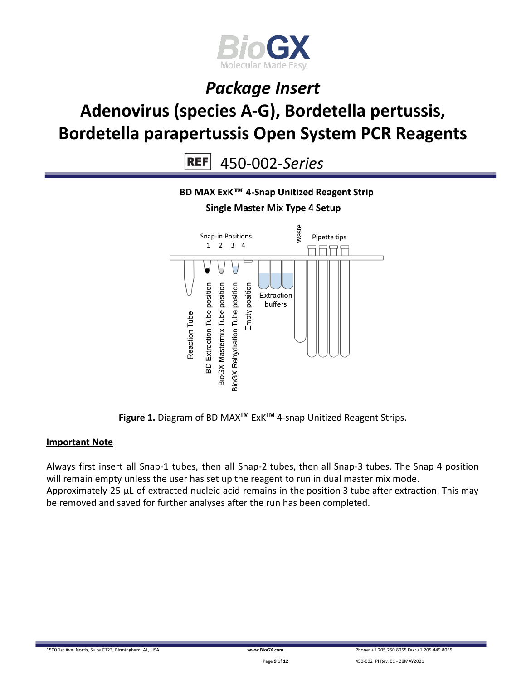

# *Package Insert* **Adenovirus (species A-G), Bordetella pertussis, Bordetella parapertussis Open System PCR Reagents**

 $REF$ 450-002-*Series*



**Figure 1.** Diagram of BD MAX**TM** ExK**TM** 4-snap Unitized Reagent Strips.

### **Important Note**

Always first insert all Snap-1 tubes, then all Snap-2 tubes, then all Snap-3 tubes. The Snap 4 position will remain empty unless the user has set up the reagent to run in dual master mix mode. Approximately 25 µL of extracted nucleic acid remains in the position 3 tube after extraction. This may be removed and saved for further analyses after the run has been completed.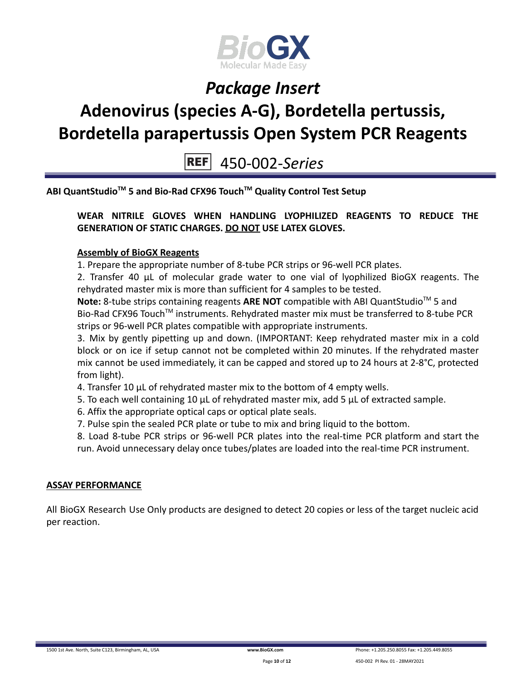

# **Adenovirus (species A-G), Bordetella pertussis, Bordetella parapertussis Open System PCR Reagents**

450-002-*Series*

**ABI QuantStudioTM 5 and Bio-Rad CFX96 TouchTM Quality Control Test Setup**

### **WEAR NITRILE GLOVES WHEN HANDLING LYOPHILIZED REAGENTS TO REDUCE THE GENERATION OF STATIC CHARGES. DO NOT USE LATEX GLOVES.**

### **Assembly of BioGX Reagents**

1. Prepare the appropriate number of 8-tube PCR strips or 96-well PCR plates.

2. Transfer 40 μL of molecular grade water to one vial of lyophilized BioGX reagents. The rehydrated master mix is more than sufficient for 4 samples to be tested.

Note: 8-tube strips containing reagents ARE NOT compatible with ABI QuantStudio<sup>™</sup> 5 and Bio-Rad CFX96 Touch<sup>™</sup> instruments. Rehydrated master mix must be transferred to 8-tube PCR strips or 96-well PCR plates compatible with appropriate instruments.

3. Mix by gently pipetting up and down. (IMPORTANT: Keep rehydrated master mix in a cold block or on ice if setup cannot not be completed within 20 minutes. If the rehydrated master mix cannot be used immediately, it can be capped and stored up to 24 hours at 2-8°C, protected from light).

- 4. Transfer 10 μL of rehydrated master mix to the bottom of 4 empty wells.
- 5. To each well containing 10 μL of rehydrated master mix, add 5 μL of extracted sample.
- 6. Affix the appropriate optical caps or optical plate seals.
- 7. Pulse spin the sealed PCR plate or tube to mix and bring liquid to the bottom.

8. Load 8-tube PCR strips or 96-well PCR plates into the real-time PCR platform and start the run. Avoid unnecessary delay once tubes/plates are loaded into the real-time PCR instrument.

### **ASSAY PERFORMANCE**

All BioGX Research Use Only products are designed to detect 20 copies or less of the target nucleic acid per reaction.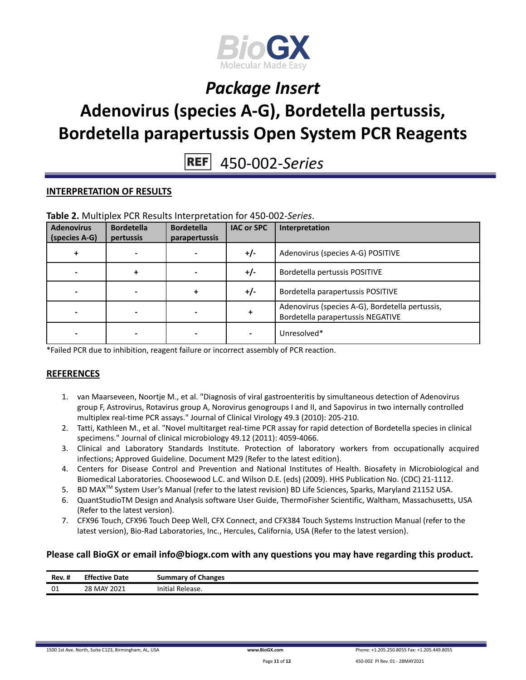

# **Adenovirus (species A-G), Bordetella pertussis, Bordetella parapertussis Open System PCR Reagents**

450-002-*Series*

### **INTERPRETATION OF RESULTS**

| <b>Adenovirus</b><br>(species A-G) | <b>Bordetella</b><br>pertussis | <b>Bordetella</b><br>parapertussis | <b>IAC or SPC</b> | Interpretation                                                                       |
|------------------------------------|--------------------------------|------------------------------------|-------------------|--------------------------------------------------------------------------------------|
| +                                  |                                |                                    | $+/-$             | Adenovirus (species A-G) POSITIVE                                                    |
|                                    |                                |                                    | $+/-$             | Bordetella pertussis POSITIVE                                                        |
|                                    |                                |                                    | $+/-$             | Bordetella parapertussis POSITIVE                                                    |
|                                    |                                |                                    |                   | Adenovirus (species A-G), Bordetella pertussis,<br>Bordetella parapertussis NEGATIVE |
|                                    |                                |                                    |                   | Unresolved*                                                                          |

#### **Table 2.** Multiplex PCR Results Interpretation for 450-002-*Series*.

\*Failed PCR due to inhibition, reagent failure or incorrect assembly of PCR reaction.

### **REFERENCES**

- 1. van Maarseveen, Noortje M., et al. "Diagnosis of viral gastroenteritis by simultaneous detection of Adenovirus group F, Astrovirus, Rotavirus group A, Norovirus genogroups I and II, and Sapovirus in two internally controlled multiplex real-time PCR assays." Journal of Clinical Virology 49.3 (2010): 205-210.
- 2. Tatti, Kathleen M., et al. "Novel multitarget real-time PCR assay for rapid detection of Bordetella species in clinical specimens." Journal of clinical microbiology 49.12 (2011): 4059-4066.
- 3. Clinical and Laboratory Standards Institute. Protection of laboratory workers from occupationally acquired infections; Approved Guideline. Document M29 (Refer to the latest edition).
- 4. Centers for Disease Control and Prevention and National Institutes of Health. Biosafety in Microbiological and Biomedical Laboratories. Choosewood L.C. and Wilson D.E. (eds) (2009). HHS Publication No. (CDC) 21-1112.
- 5. BD MAX TM System User's Manual (refer to the latest revision) BD Life Sciences, Sparks, Maryland 21152 USA.
- 6. QuantStudioTM Design and Analysis software User Guide, ThermoFisher Scientific, Waltham, Massachusetts, USA (Refer to the latest version).
- 7. CFX96 Touch, CFX96 Touch Deep Well, CFX Connect, and CFX384 Touch Systems Instruction Manual (refer to the latest version), Bio-Rad Laboratories, Inc., Hercules, California, USA (Refer to the latest version).

### **Please call BioGX or email info@biogx.com with any questions you may have regarding this product.**

| Rev. # | <b>Effective Date</b> | <b>Summary of Changes</b> |
|--------|-----------------------|---------------------------|
| 01     | 28 MAY 2021           | Initial Release.          |